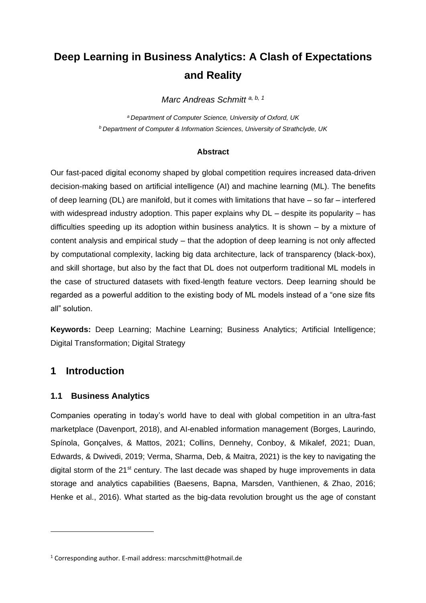# **Deep Learning in Business Analytics: A Clash of Expectations and Reality**

*Marc Andreas Schmitt a, b, 1*

*<sup>a</sup>Department of Computer Science, University of Oxford, UK <sup>b</sup> Department of Computer & Information Sciences, University of Strathclyde, UK*

### **Abstract**

Our fast-paced digital economy shaped by global competition requires increased data-driven decision-making based on artificial intelligence (AI) and machine learning (ML). The benefits of deep learning (DL) are manifold, but it comes with limitations that have – so far – interfered with widespread industry adoption. This paper explains why  $DL$  – despite its popularity – has difficulties speeding up its adoption within business analytics. It is shown – by a mixture of content analysis and empirical study – that the adoption of deep learning is not only affected by computational complexity, lacking big data architecture, lack of transparency (black-box), and skill shortage, but also by the fact that DL does not outperform traditional ML models in the case of structured datasets with fixed-length feature vectors. Deep learning should be regarded as a powerful addition to the existing body of ML models instead of a "one size fits all" solution.

**Keywords:** Deep Learning; Machine Learning; Business Analytics; Artificial Intelligence; Digital Transformation; Digital Strategy

# **1 Introduction**

# **1.1 Business Analytics**

Companies operating in today's world have to deal with global competition in an ultra-fast marketplace (Davenport, 2018), and AI-enabled information management (Borges, Laurindo, Spínola, Gonçalves, & Mattos, 2021; Collins, Dennehy, Conboy, & Mikalef, 2021; Duan, Edwards, & Dwivedi, 2019; Verma, Sharma, Deb, & Maitra, 2021) is the key to navigating the digital storm of the 21<sup>st</sup> century. The last decade was shaped by huge improvements in data storage and analytics capabilities (Baesens, Bapna, Marsden, Vanthienen, & Zhao, 2016; Henke et al., 2016). What started as the big-data revolution brought us the age of constant

<sup>1</sup> Corresponding author. E-mail address: marcschmitt@hotmail.de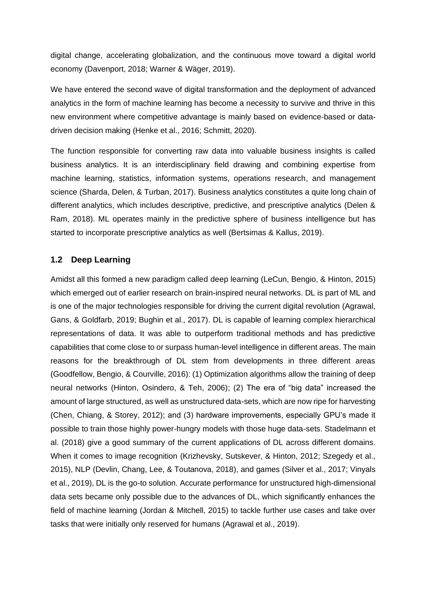digital change, accelerating globalization, and the continuous move toward a digital world economy (Davenport, 2018; Warner & Wäger, 2019).

We have entered the second wave of digital transformation and the deployment of advanced analytics in the form of machine learning has become a necessity to survive and thrive in this new environment where competitive advantage is mainly based on evidence-based or datadriven decision making (Henke et al., 2016; Schmitt, 2020).

The function responsible for converting raw data into valuable business insights is called business analytics. It is an interdisciplinary field drawing and combining expertise from machine learning, statistics, information systems, operations research, and management science (Sharda, Delen, & Turban, 2017). Business analytics constitutes a quite long chain of different analytics, which includes descriptive, predictive, and prescriptive analytics (Delen & Ram, 2018). ML operates mainly in the predictive sphere of business intelligence but has started to incorporate prescriptive analytics as well (Bertsimas & Kallus, 2019).

# **1.2 Deep Learning**

Amidst all this formed a new paradigm called deep learning (LeCun, Bengio, & Hinton, 2015) which emerged out of earlier research on brain-inspired neural networks. DL is part of ML and is one of the major technologies responsible for driving the current digital revolution (Agrawal, Gans, & Goldfarb, 2019; Bughin et al., 2017). DL is capable of learning complex hierarchical representations of data. It was able to outperform traditional methods and has predictive capabilities that come close to or surpass human-level intelligence in different areas. The main reasons for the breakthrough of DL stem from developments in three different areas (Goodfellow, Bengio, & Courville, 2016): (1) Optimization algorithms allow the training of deep neural networks (Hinton, Osindero, & Teh, 2006); (2) The era of "big data" increased the amount of large structured, as well as unstructured data-sets, which are now ripe for harvesting (Chen, Chiang, & Storey, 2012); and (3) hardware improvements, especially GPU's made it possible to train those highly power-hungry models with those huge data-sets. Stadelmann et al. (2018) give a good summary of the current applications of DL across different domains. When it comes to image recognition (Krizhevsky, Sutskever, & Hinton, 2012; Szegedy et al., 2015), NLP (Devlin, Chang, Lee, & Toutanova, 2018), and games (Silver et al., 2017; Vinyals et al., 2019), DL is the go-to solution. Accurate performance for unstructured high-dimensional data sets became only possible due to the advances of DL, which significantly enhances the field of machine learning (Jordan & Mitchell, 2015) to tackle further use cases and take over tasks that were initially only reserved for humans (Agrawal et al., 2019).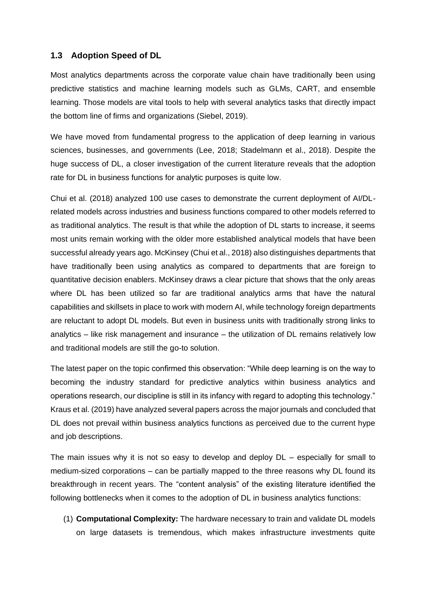# **1.3 Adoption Speed of DL**

Most analytics departments across the corporate value chain have traditionally been using predictive statistics and machine learning models such as GLMs, CART, and ensemble learning. Those models are vital tools to help with several analytics tasks that directly impact the bottom line of firms and organizations (Siebel, 2019).

We have moved from fundamental progress to the application of deep learning in various sciences, businesses, and governments (Lee, 2018; Stadelmann et al., 2018). Despite the huge success of DL, a closer investigation of the current literature reveals that the adoption rate for DL in business functions for analytic purposes is quite low.

Chui et al. (2018) analyzed 100 use cases to demonstrate the current deployment of AI/DLrelated models across industries and business functions compared to other models referred to as traditional analytics. The result is that while the adoption of DL starts to increase, it seems most units remain working with the older more established analytical models that have been successful already years ago. McKinsey (Chui et al., 2018) also distinguishes departments that have traditionally been using analytics as compared to departments that are foreign to quantitative decision enablers. McKinsey draws a clear picture that shows that the only areas where DL has been utilized so far are traditional analytics arms that have the natural capabilities and skillsets in place to work with modern AI, while technology foreign departments are reluctant to adopt DL models. But even in business units with traditionally strong links to analytics – like risk management and insurance – the utilization of DL remains relatively low and traditional models are still the go-to solution.

The latest paper on the topic confirmed this observation: "While deep learning is on the way to becoming the industry standard for predictive analytics within business analytics and operations research, our discipline is still in its infancy with regard to adopting this technology." Kraus et al. (2019) have analyzed several papers across the major journals and concluded that DL does not prevail within business analytics functions as perceived due to the current hype and job descriptions.

The main issues why it is not so easy to develop and deploy DL – especially for small to medium-sized corporations – can be partially mapped to the three reasons why DL found its breakthrough in recent years. The "content analysis" of the existing literature identified the following bottlenecks when it comes to the adoption of DL in business analytics functions:

(1) **Computational Complexity:** The hardware necessary to train and validate DL models on large datasets is tremendous, which makes infrastructure investments quite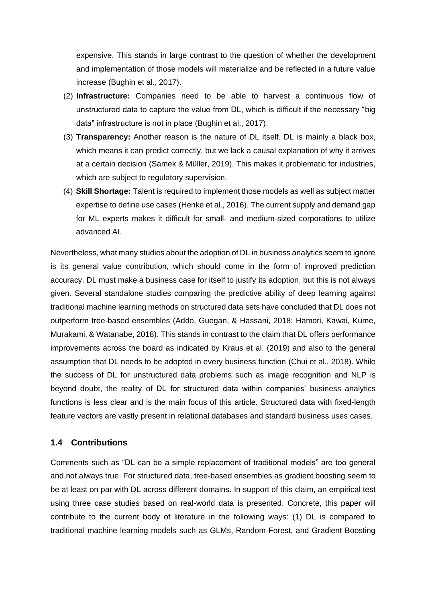expensive. This stands in large contrast to the question of whether the development and implementation of those models will materialize and be reflected in a future value increase (Bughin et al., 2017).

- (2) **Infrastructure:** Companies need to be able to harvest a continuous flow of unstructured data to capture the value from DL, which is difficult if the necessary "big data" infrastructure is not in place (Bughin et al., 2017).
- (3) **Transparency:** Another reason is the nature of DL itself. DL is mainly a black box, which means it can predict correctly, but we lack a causal explanation of why it arrives at a certain decision (Samek & Müller, 2019). This makes it problematic for industries, which are subject to regulatory supervision.
- (4) **Skill Shortage:** Talent is required to implement those models as well as subject matter expertise to define use cases (Henke et al., 2016). The current supply and demand gap for ML experts makes it difficult for small- and medium-sized corporations to utilize advanced AI.

Nevertheless, what many studies about the adoption of DL in business analytics seem to ignore is its general value contribution, which should come in the form of improved prediction accuracy. DL must make a business case for itself to justify its adoption, but this is not always given. Several standalone studies comparing the predictive ability of deep learning against traditional machine learning methods on structured data sets have concluded that DL does not outperform tree-based ensembles (Addo, Guegan, & Hassani, 2018; Hamori, Kawai, Kume, Murakami, & Watanabe, 2018). This stands in contrast to the claim that DL offers performance improvements across the board as indicated by Kraus et al. (2019) and also to the general assumption that DL needs to be adopted in every business function (Chui et al., 2018). While the success of DL for unstructured data problems such as image recognition and NLP is beyond doubt, the reality of DL for structured data within companies' business analytics functions is less clear and is the main focus of this article. Structured data with fixed-length feature vectors are vastly present in relational databases and standard business uses cases.

# **1.4 Contributions**

Comments such as "DL can be a simple replacement of traditional models" are too general and not always true. For structured data, tree-based ensembles as gradient boosting seem to be at least on par with DL across different domains. In support of this claim, an empirical test using three case studies based on real-world data is presented. Concrete, this paper will contribute to the current body of literature in the following ways: (1) DL is compared to traditional machine learning models such as GLMs, Random Forest, and Gradient Boosting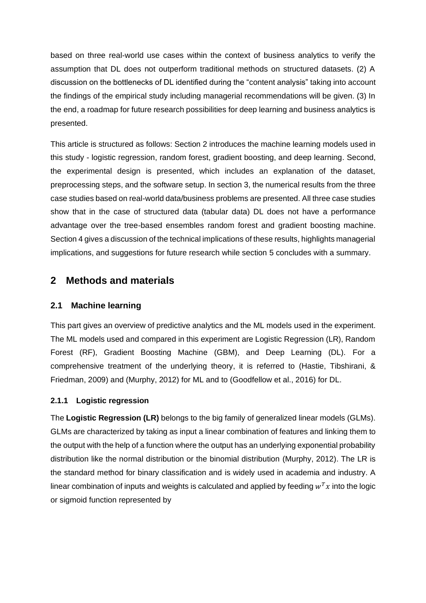based on three real-world use cases within the context of business analytics to verify the assumption that DL does not outperform traditional methods on structured datasets. (2) A discussion on the bottlenecks of DL identified during the "content analysis" taking into account the findings of the empirical study including managerial recommendations will be given. (3) In the end, a roadmap for future research possibilities for deep learning and business analytics is presented.

This article is structured as follows: Section 2 introduces the machine learning models used in this study - logistic regression, random forest, gradient boosting, and deep learning. Second, the experimental design is presented, which includes an explanation of the dataset, preprocessing steps, and the software setup. In section 3, the numerical results from the three case studies based on real-world data/business problems are presented. All three case studies show that in the case of structured data (tabular data) DL does not have a performance advantage over the tree-based ensembles random forest and gradient boosting machine. Section 4 gives a discussion of the technical implications of these results, highlights managerial implications, and suggestions for future research while section 5 concludes with a summary.

# **2 Methods and materials**

# **2.1 Machine learning**

This part gives an overview of predictive analytics and the ML models used in the experiment. The ML models used and compared in this experiment are Logistic Regression (LR), Random Forest (RF), Gradient Boosting Machine (GBM), and Deep Learning (DL). For a comprehensive treatment of the underlying theory, it is referred to (Hastie, Tibshirani, & Friedman, 2009) and (Murphy, 2012) for ML and to (Goodfellow et al., 2016) for DL.

# **2.1.1 Logistic regression**

The **Logistic Regression (LR)** belongs to the big family of generalized linear models (GLMs). GLMs are characterized by taking as input a linear combination of features and linking them to the output with the help of a function where the output has an underlying exponential probability distribution like the normal distribution or the binomial distribution (Murphy, 2012). The LR is the standard method for binary classification and is widely used in academia and industry. A linear combination of inputs and weights is calculated and applied by feeding  $w<sup>T</sup>x$  into the logic or sigmoid function represented by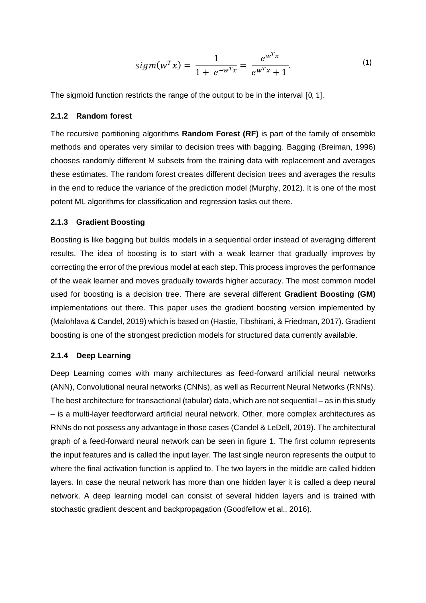$$
sigm(w^T x) = \frac{1}{1 + e^{-w^T x}} = \frac{e^{w^T x}}{e^{w^T x} + 1}.
$$
\n(1)

The sigmoid function restricts the range of the output to be in the interval [0, 1].

### **2.1.2 Random forest**

The recursive partitioning algorithms **Random Forest (RF)** is part of the family of ensemble methods and operates very similar to decision trees with bagging. Bagging (Breiman, 1996) chooses randomly different M subsets from the training data with replacement and averages these estimates. The random forest creates different decision trees and averages the results in the end to reduce the variance of the prediction model (Murphy, 2012). It is one of the most potent ML algorithms for classification and regression tasks out there.

### **2.1.3 Gradient Boosting**

Boosting is like bagging but builds models in a sequential order instead of averaging different results. The idea of boosting is to start with a weak learner that gradually improves by correcting the error of the previous model at each step. This process improves the performance of the weak learner and moves gradually towards higher accuracy. The most common model used for boosting is a decision tree. There are several different **Gradient Boosting (GM)** implementations out there. This paper uses the gradient boosting version implemented by (Malohlava & Candel, 2019) which is based on (Hastie, Tibshirani, & Friedman, 2017). Gradient boosting is one of the strongest prediction models for structured data currently available.

### **2.1.4 Deep Learning**

Deep Learning comes with many architectures as feed-forward artificial neural networks (ANN), Convolutional neural networks (CNNs), as well as Recurrent Neural Networks (RNNs). The best architecture for transactional (tabular) data, which are not sequential – as in this study – is a multi-layer feedforward artificial neural network. Other, more complex architectures as RNNs do not possess any advantage in those cases (Candel & LeDell, 2019). The architectural graph of a feed-forward neural network can be seen in figure 1. The first column represents the input features and is called the input layer. The last single neuron represents the output to where the final activation function is applied to. The two layers in the middle are called hidden layers. In case the neural network has more than one hidden layer it is called a deep neural network. A deep learning model can consist of several hidden layers and is trained with stochastic gradient descent and backpropagation (Goodfellow et al., 2016).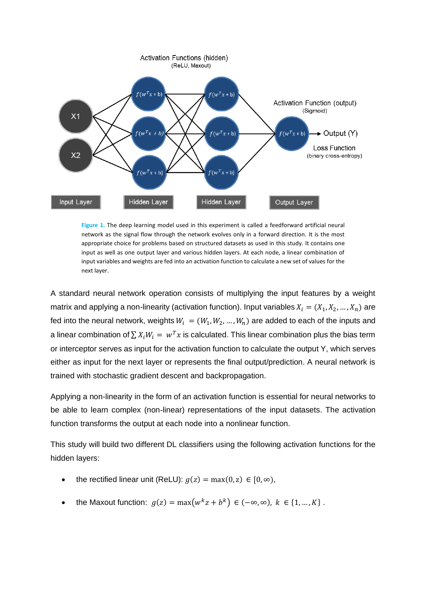

**Figure 1.** The deep learning model used in this experiment is called a feedforward artificial neural network as the signal flow through the network evolves only in a forward direction. It is the most appropriate choice for problems based on structured datasets as used in this study. It contains one input as well as one output layer and various hidden layers. At each node, a linear combination of input variables and weights are fed into an activation function to calculate a new set of values for the next layer.

A standard neural network operation consists of multiplying the input features by a weight matrix and applying a non-linearity (activation function). Input variables  $X_i = (X_1, X_2, ..., X_n)$  are fed into the neural network, weights  $W_i = (W_1, W_2, ..., W_n)$  are added to each of the inputs and a linear combination of  $\sum X_i W_i = w^T x$  is calculated. This linear combination plus the bias term or interceptor serves as input for the activation function to calculate the output Y, which serves either as input for the next layer or represents the final output/prediction. A neural network is trained with stochastic gradient descent and backpropagation.

Applying a non-linearity in the form of an activation function is essential for neural networks to be able to learn complex (non-linear) representations of the input datasets. The activation function transforms the output at each node into a nonlinear function.

This study will build two different DL classifiers using the following activation functions for the hidden layers:

- the rectified linear unit (ReLU):  $g(z) = \max(0, z) \in [0, \infty)$ ,
- the Maxout function:  $g(z) = \max(w^k z + b^k) \in (-\infty, \infty), k \in \{1, ..., K\}$ .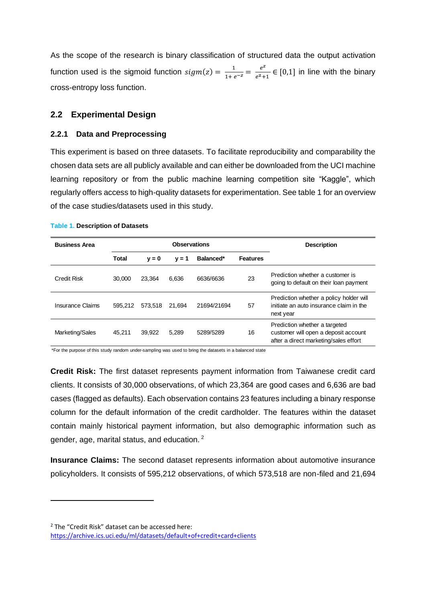As the scope of the research is binary classification of structured data the output activation function used is the sigmoid function  $sigma(z) = \frac{1}{1+e^{-z}} = \frac{e^z}{e^z + z}$  $\frac{e}{e^z+1} \in [0,1]$  in line with the binary cross-entropy loss function.

# **2.2 Experimental Design**

### **2.2.1 Data and Preprocessing**

This experiment is based on three datasets. To facilitate reproducibility and comparability the chosen data sets are all publicly available and can either be downloaded from the UCI machine learning repository or from the public machine learning competition site "Kaggle", which regularly offers access to high-quality datasets for experimentation. See table 1 for an overview of the case studies/datasets used in this study.

| <b>Business Area</b> | <b>Observations</b> |         |         |             | <b>Description</b> |                                                                                                                |
|----------------------|---------------------|---------|---------|-------------|--------------------|----------------------------------------------------------------------------------------------------------------|
|                      | Total               | $v = 0$ | $v = 1$ | Balanced*   | <b>Features</b>    |                                                                                                                |
| Credit Risk          | 30,000              | 23.364  | 6.636   | 6636/6636   | 23                 | Prediction whether a customer is<br>going to default on their loan payment                                     |
| Insurance Claims     | 595.212             | 573,518 | 21.694  | 21694/21694 | 57                 | Prediction whether a policy holder will<br>initiate an auto insurance claim in the<br>next year                |
| Marketing/Sales      | 45.211              | 39.922  | 5.289   | 5289/5289   | 16                 | Prediction whether a targeted<br>customer will open a deposit account<br>after a direct marketing/sales effort |

#### **Table 1. Description of Datasets Table X. Description of Datasets**

\*For the purpose of this study random under-sampling was used to bring the datasets in a balanced state

**Credit Risk:** The first dataset represents payment information from Taiwanese credit card clients. It consists of 30,000 observations, of which 23,364 are good cases and 6,636 are bad cases (flagged as defaults). Each observation contains 23 features including a binary response column for the default information of the credit cardholder. The features within the dataset contain mainly historical payment information, but also demographic information such as gender, age, marital status, and education. <sup>2</sup>

**Insurance Claims:** The second dataset represents information about automotive insurance policyholders. It consists of 595,212 observations, of which 573,518 are non-filed and 21,694

<sup>&</sup>lt;sup>2</sup> The "Credit Risk" dataset can be accessed here: <https://archive.ics.uci.edu/ml/datasets/default+of+credit+card+clients>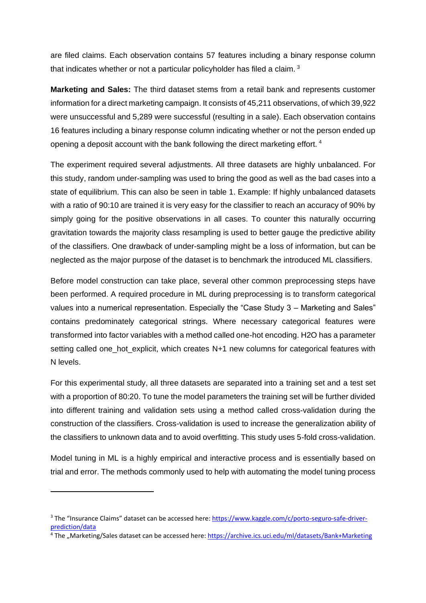are filed claims. Each observation contains 57 features including a binary response column that indicates whether or not a particular policyholder has filed a claim.<sup>3</sup>

**Marketing and Sales:** The third dataset stems from a retail bank and represents customer information for a direct marketing campaign. It consists of 45,211 observations, of which 39,922 were unsuccessful and 5,289 were successful (resulting in a sale). Each observation contains 16 features including a binary response column indicating whether or not the person ended up opening a deposit account with the bank following the direct marketing effort. <sup>4</sup>

The experiment required several adjustments. All three datasets are highly unbalanced. For this study, random under-sampling was used to bring the good as well as the bad cases into a state of equilibrium. This can also be seen in table 1. Example: If highly unbalanced datasets with a ratio of 90:10 are trained it is very easy for the classifier to reach an accuracy of 90% by simply going for the positive observations in all cases. To counter this naturally occurring gravitation towards the majority class resampling is used to better gauge the predictive ability of the classifiers. One drawback of under-sampling might be a loss of information, but can be neglected as the major purpose of the dataset is to benchmark the introduced ML classifiers.

Before model construction can take place, several other common preprocessing steps have been performed. A required procedure in ML during preprocessing is to transform categorical values into a numerical representation. Especially the "Case Study 3 – Marketing and Sales" contains predominately categorical strings. Where necessary categorical features were transformed into factor variables with a method called one-hot encoding. H2O has a parameter setting called one\_hot\_explicit, which creates N+1 new columns for categorical features with N levels.

For this experimental study, all three datasets are separated into a training set and a test set with a proportion of 80:20. To tune the model parameters the training set will be further divided into different training and validation sets using a method called cross-validation during the construction of the classifiers. Cross-validation is used to increase the generalization ability of the classifiers to unknown data and to avoid overfitting. This study uses 5-fold cross-validation.

Model tuning in ML is a highly empirical and interactive process and is essentially based on trial and error. The methods commonly used to help with automating the model tuning process

<sup>&</sup>lt;sup>3</sup> The "Insurance Claims" dataset can be accessed here: [https://www.kaggle.com/c/porto-seguro-safe-driver](https://www.kaggle.com/c/porto-seguro-safe-driver-prediction/data)[prediction/data](https://www.kaggle.com/c/porto-seguro-safe-driver-prediction/data)

<sup>&</sup>lt;sup>4</sup> The "Marketing/Sales dataset can be accessed here[: https://archive.ics.uci.edu/ml/datasets/Bank+Marketing](https://archive.ics.uci.edu/ml/datasets/Bank+Marketing)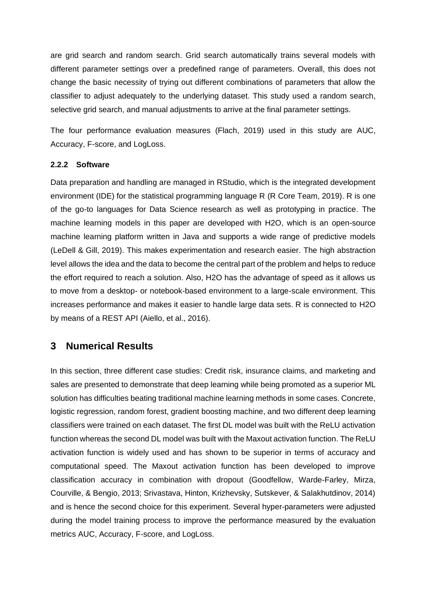are grid search and random search. Grid search automatically trains several models with different parameter settings over a predefined range of parameters. Overall, this does not change the basic necessity of trying out different combinations of parameters that allow the classifier to adjust adequately to the underlying dataset. This study used a random search, selective grid search, and manual adjustments to arrive at the final parameter settings.

The four performance evaluation measures (Flach, 2019) used in this study are AUC, Accuracy, F-score, and LogLoss.

# **2.2.2 Software**

Data preparation and handling are managed in RStudio, which is the integrated development environment (IDE) for the statistical programming language R (R Core Team, 2019). R is one of the go-to languages for Data Science research as well as prototyping in practice. The machine learning models in this paper are developed with H2O, which is an open-source machine learning platform written in Java and supports a wide range of predictive models (LeDell & Gill, 2019). This makes experimentation and research easier. The high abstraction level allows the idea and the data to become the central part of the problem and helps to reduce the effort required to reach a solution. Also, H2O has the advantage of speed as it allows us to move from a desktop- or notebook-based environment to a large-scale environment. This increases performance and makes it easier to handle large data sets. R is connected to H2O by means of a REST API (Aiello, et al., 2016).

# **3 Numerical Results**

In this section, three different case studies: Credit risk, insurance claims, and marketing and sales are presented to demonstrate that deep learning while being promoted as a superior ML solution has difficulties beating traditional machine learning methods in some cases. Concrete, logistic regression, random forest, gradient boosting machine, and two different deep learning classifiers were trained on each dataset. The first DL model was built with the ReLU activation function whereas the second DL model was built with the Maxout activation function. The ReLU activation function is widely used and has shown to be superior in terms of accuracy and computational speed. The Maxout activation function has been developed to improve classification accuracy in combination with dropout (Goodfellow, Warde-Farley, Mirza, Courville, & Bengio, 2013; Srivastava, Hinton, Krizhevsky, Sutskever, & Salakhutdinov, 2014) and is hence the second choice for this experiment. Several hyper-parameters were adjusted during the model training process to improve the performance measured by the evaluation metrics AUC, Accuracy, F-score, and LogLoss.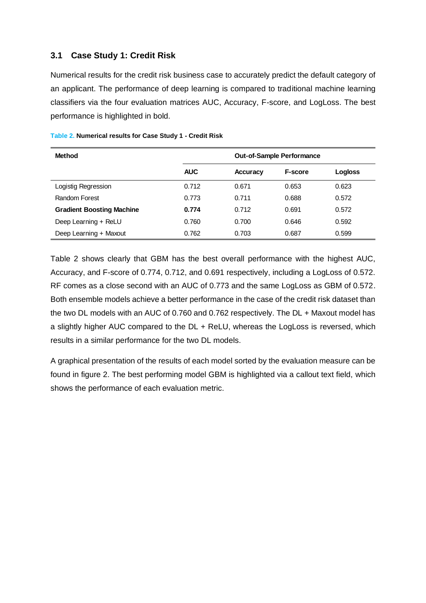# **3.1 Case Study 1: Credit Risk**

Numerical results for the credit risk business case to accurately predict the default category of an applicant. The performance of deep learning is compared to traditional machine learning classifiers via the four evaluation matrices AUC, Accuracy, F-score, and LogLoss. The best performance is highlighted in bold.

| <b>Method</b>                    | <b>Out-of-Sample Performance</b> |          |                |         |  |
|----------------------------------|----------------------------------|----------|----------------|---------|--|
|                                  | <b>AUC</b>                       | Accuracy | <b>F-score</b> | Logloss |  |
| Logistig Regression              | 0.712                            | 0.671    | 0.653          | 0.623   |  |
| Random Forest                    | 0.773                            | 0.711    | 0.688          | 0.572   |  |
| <b>Gradient Boosting Machine</b> | 0.774                            | 0.712    | 0.691          | 0.572   |  |
| Deep Learning + ReLU             | 0.760                            | 0.700    | 0.646          | 0.592   |  |
| Deep Learning + Maxout           | 0.762                            | 0.703    | 0.687          | 0.599   |  |

#### **Table 2. Numerical results for Case Study 1 - Credit Risk Table X. Numerical results for Case Study 1 - Credit Risk**

Table 2 shows clearly that GBM has the best overall performance with the highest AUC, Accuracy, and F-score of 0.774, 0.712, and 0.691 respectively, including a LogLoss of 0.572. RF comes as a close second with an AUC of 0.773 and the same LogLoss as GBM of 0.572. Both ensemble models achieve a better performance in the case of the credit risk dataset than the two DL models with an AUC of 0.760 and 0.762 respectively. The DL + Maxout model has a slightly higher AUC compared to the DL + ReLU, whereas the LogLoss is reversed, which results in a similar performance for the two DL models.

A graphical presentation of the results of each model sorted by the evaluation measure can be found in figure 2. The best performing model GBM is highlighted via a callout text field, which shows the performance of each evaluation metric.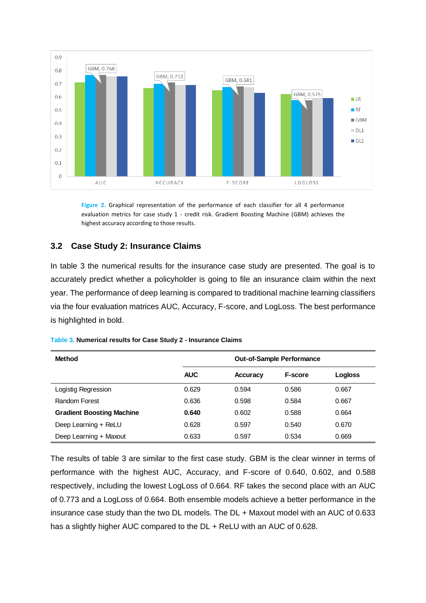

**Figure 2.** Graphical representation of the performance of each classifier for all 4 performance evaluation metrics for case study 1 - credit risk. Gradient Boosting Machine (GBM) achieves the highest accuracy according to those results.

# **3.2 Case Study 2: Insurance Claims**

In table 3 the numerical results for the insurance case study are presented. The goal is to accurately predict whether a policyholder is going to file an insurance claim within the next year. The performance of deep learning is compared to traditional machine learning classifiers via the four evaluation matrices AUC, Accuracy, F-score, and LogLoss. The best performance is highlighted in bold.

| Method                           |            | <b>Out-of-Sample Performance</b> |                |                |  |
|----------------------------------|------------|----------------------------------|----------------|----------------|--|
|                                  | <b>AUC</b> | Accuracy                         | <b>F-score</b> | <b>Logloss</b> |  |
| Logistig Regression              | 0.629      | 0.594                            | 0.586          | 0.667          |  |
| Random Forest                    | 0.636      | 0.598                            | 0.584          | 0.667          |  |
| <b>Gradient Boosting Machine</b> | 0.640      | 0.602                            | 0.588          | 0.664          |  |
| Deep Learning + ReLU             | 0.628      | 0.597                            | 0.540          | 0.670          |  |
| Deep Learning + Maxout           | 0.633      | 0.597                            | 0.534          | 0.669          |  |

| Table 3. Numerical results for Case Study 2 - Insurance Claims |  |
|----------------------------------------------------------------|--|

The results of table 3 are similar to the first case study. GBM is the clear winner in terms of performance with the highest AUC, Accuracy, and F-score of 0.640, 0.602, and 0.588 respectively, including the lowest LogLoss of 0.664. RF takes the second place with an AUC of 0.773 and a LogLoss of 0.664. Both ensemble models achieve a better performance in the insurance case study than the two DL models. The DL + Maxout model with an AUC of 0.633 has a slightly higher AUC compared to the DL + ReLU with an AUC of 0.628.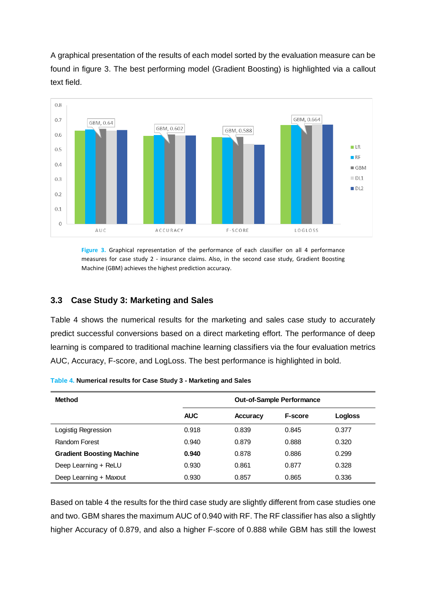A graphical presentation of the results of each model sorted by the evaluation measure can be found in figure 3. The best performing model (Gradient Boosting) is highlighted via a callout text field.



**Figure 3.** Graphical representation of the performance of each classifier on all 4 performance measures for case study 2 - insurance claims. Also, in the second case study, Gradient Boosting Machine (GBM) achieves the highest prediction accuracy.

# **3.3 Case Study 3: Marketing and Sales**

Table 4 shows the numerical results for the marketing and sales case study to accurately predict successful conversions based on a direct marketing effort. The performance of deep learning is compared to traditional machine learning classifiers via the four evaluation metrics AUC, Accuracy, F-score, and LogLoss. The best performance is highlighted in bold.

| <b>Method</b>                    | <b>Out-of-Sample Performance</b> |                 |                |         |
|----------------------------------|----------------------------------|-----------------|----------------|---------|
|                                  | <b>AUC</b>                       | <b>Accuracy</b> | <b>F-score</b> | Logloss |
| Logistig Regression              | 0.918                            | 0.839           | 0.845          | 0.377   |
| Random Forest                    | 0.940                            | 0.879           | 0.888          | 0.320   |
| <b>Gradient Boosting Machine</b> | 0.940                            | 0.878           | 0.886          | 0.299   |
| Deep Learning + ReLU             | 0.930                            | 0.861           | 0.877          | 0.328   |
| Deep Learning + Maxout           | 0.930                            | 0.857           | 0.865          | 0.336   |

**Table 4. Numerical results for Case Study 3 - Marketing and Sales Table X. Numerical results for Case Study 3 - Marketing and Sales**

Based on table 4 the results for the third case study are slightly different from case studies one and two. GBM shares the maximum AUC of 0.940 with RF. The RF classifier has also a slightly higher Accuracy of 0.879, and also a higher F-score of 0.888 while GBM has still the lowest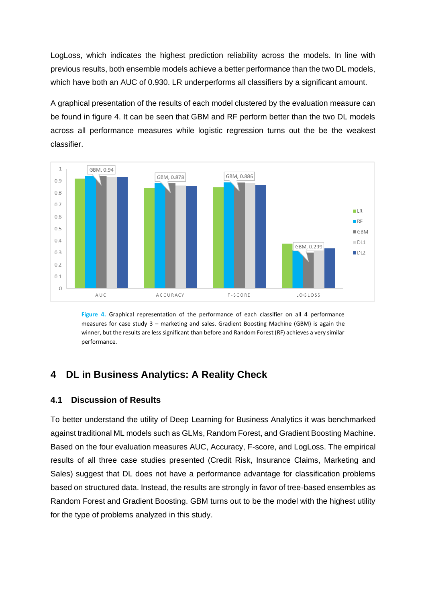LogLoss, which indicates the highest prediction reliability across the models. In line with previous results, both ensemble models achieve a better performance than the two DL models, which have both an AUC of 0.930. LR underperforms all classifiers by a significant amount.

A graphical presentation of the results of each model clustered by the evaluation measure can be found in figure 4. It can be seen that GBM and RF perform better than the two DL models across all performance measures while logistic regression turns out the be the weakest classifier.



**Figure 4.** Graphical representation of the performance of each classifier on all 4 performance measures for case study 3 – marketing and sales. Gradient Boosting Machine (GBM) is again the winner, but the results are less significant than before and Random Forest (RF) achieves a very similar performance.

# **4 DL in Business Analytics: A Reality Check**

# **4.1 Discussion of Results**

To better understand the utility of Deep Learning for Business Analytics it was benchmarked against traditional ML models such as GLMs, Random Forest, and Gradient Boosting Machine. Based on the four evaluation measures AUC, Accuracy, F-score, and LogLoss. The empirical results of all three case studies presented (Credit Risk, Insurance Claims, Marketing and Sales) suggest that DL does not have a performance advantage for classification problems based on structured data. Instead, the results are strongly in favor of tree-based ensembles as Random Forest and Gradient Boosting. GBM turns out to be the model with the highest utility for the type of problems analyzed in this study.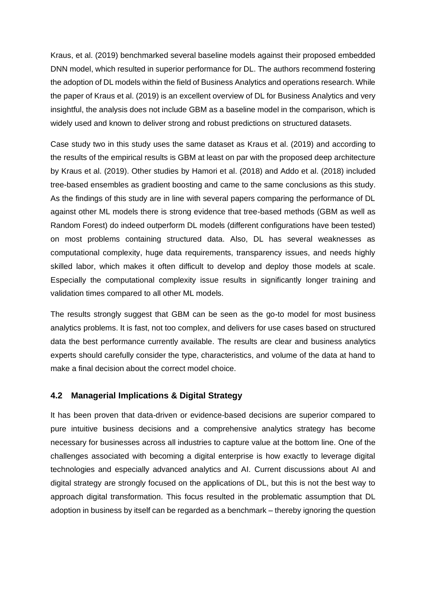Kraus, et al. (2019) benchmarked several baseline models against their proposed embedded DNN model, which resulted in superior performance for DL. The authors recommend fostering the adoption of DL models within the field of Business Analytics and operations research. While the paper of Kraus et al. (2019) is an excellent overview of DL for Business Analytics and very insightful, the analysis does not include GBM as a baseline model in the comparison, which is widely used and known to deliver strong and robust predictions on structured datasets.

Case study two in this study uses the same dataset as Kraus et al. (2019) and according to the results of the empirical results is GBM at least on par with the proposed deep architecture by Kraus et al. (2019). Other studies by Hamori et al. (2018) and Addo et al. (2018) included tree-based ensembles as gradient boosting and came to the same conclusions as this study. As the findings of this study are in line with several papers comparing the performance of DL against other ML models there is strong evidence that tree-based methods (GBM as well as Random Forest) do indeed outperform DL models (different configurations have been tested) on most problems containing structured data. Also, DL has several weaknesses as computational complexity, huge data requirements, transparency issues, and needs highly skilled labor, which makes it often difficult to develop and deploy those models at scale. Especially the computational complexity issue results in significantly longer training and validation times compared to all other ML models.

The results strongly suggest that GBM can be seen as the go-to model for most business analytics problems. It is fast, not too complex, and delivers for use cases based on structured data the best performance currently available. The results are clear and business analytics experts should carefully consider the type, characteristics, and volume of the data at hand to make a final decision about the correct model choice.

# **4.2 Managerial Implications & Digital Strategy**

It has been proven that data-driven or evidence-based decisions are superior compared to pure intuitive business decisions and a comprehensive analytics strategy has become necessary for businesses across all industries to capture value at the bottom line. One of the challenges associated with becoming a digital enterprise is how exactly to leverage digital technologies and especially advanced analytics and AI. Current discussions about AI and digital strategy are strongly focused on the applications of DL, but this is not the best way to approach digital transformation. This focus resulted in the problematic assumption that DL adoption in business by itself can be regarded as a benchmark – thereby ignoring the question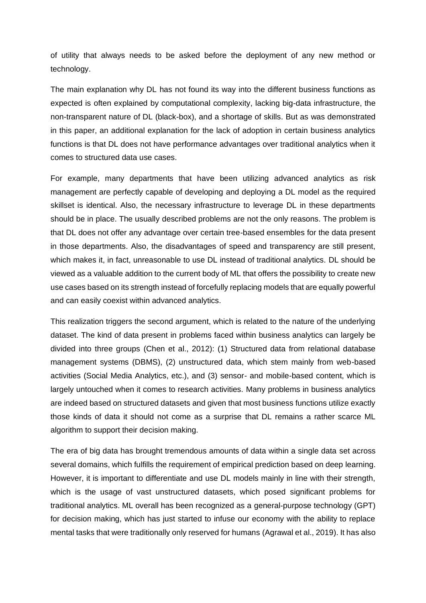of utility that always needs to be asked before the deployment of any new method or technology.

The main explanation why DL has not found its way into the different business functions as expected is often explained by computational complexity, lacking big-data infrastructure, the non-transparent nature of DL (black-box), and a shortage of skills. But as was demonstrated in this paper, an additional explanation for the lack of adoption in certain business analytics functions is that DL does not have performance advantages over traditional analytics when it comes to structured data use cases.

For example, many departments that have been utilizing advanced analytics as risk management are perfectly capable of developing and deploying a DL model as the required skillset is identical. Also, the necessary infrastructure to leverage DL in these departments should be in place. The usually described problems are not the only reasons. The problem is that DL does not offer any advantage over certain tree-based ensembles for the data present in those departments. Also, the disadvantages of speed and transparency are still present, which makes it, in fact, unreasonable to use DL instead of traditional analytics. DL should be viewed as a valuable addition to the current body of ML that offers the possibility to create new use cases based on its strength instead of forcefully replacing models that are equally powerful and can easily coexist within advanced analytics.

This realization triggers the second argument, which is related to the nature of the underlying dataset. The kind of data present in problems faced within business analytics can largely be divided into three groups (Chen et al., 2012): (1) Structured data from relational database management systems (DBMS), (2) unstructured data, which stem mainly from web-based activities (Social Media Analytics, etc.), and (3) sensor- and mobile-based content, which is largely untouched when it comes to research activities. Many problems in business analytics are indeed based on structured datasets and given that most business functions utilize exactly those kinds of data it should not come as a surprise that DL remains a rather scarce ML algorithm to support their decision making.

The era of big data has brought tremendous amounts of data within a single data set across several domains, which fulfills the requirement of empirical prediction based on deep learning. However, it is important to differentiate and use DL models mainly in line with their strength, which is the usage of vast unstructured datasets, which posed significant problems for traditional analytics. ML overall has been recognized as a general-purpose technology (GPT) for decision making, which has just started to infuse our economy with the ability to replace mental tasks that were traditionally only reserved for humans (Agrawal et al., 2019). It has also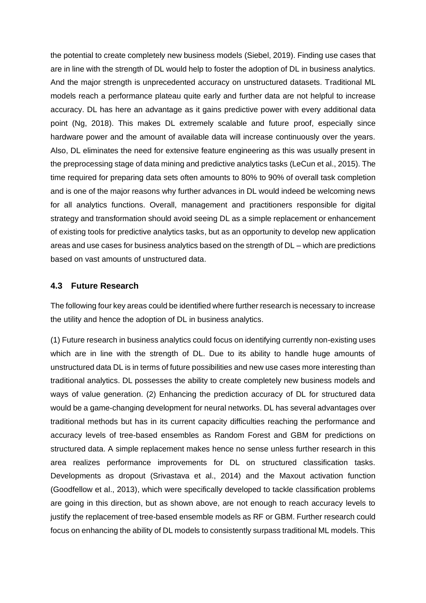the potential to create completely new business models (Siebel, 2019). Finding use cases that are in line with the strength of DL would help to foster the adoption of DL in business analytics. And the major strength is unprecedented accuracy on unstructured datasets. Traditional ML models reach a performance plateau quite early and further data are not helpful to increase accuracy. DL has here an advantage as it gains predictive power with every additional data point (Ng, 2018). This makes DL extremely scalable and future proof, especially since hardware power and the amount of available data will increase continuously over the years. Also, DL eliminates the need for extensive feature engineering as this was usually present in the preprocessing stage of data mining and predictive analytics tasks (LeCun et al., 2015). The time required for preparing data sets often amounts to 80% to 90% of overall task completion and is one of the major reasons why further advances in DL would indeed be welcoming news for all analytics functions. Overall, management and practitioners responsible for digital strategy and transformation should avoid seeing DL as a simple replacement or enhancement of existing tools for predictive analytics tasks, but as an opportunity to develop new application areas and use cases for business analytics based on the strength of DL – which are predictions based on vast amounts of unstructured data.

### **4.3 Future Research**

The following four key areas could be identified where further research is necessary to increase the utility and hence the adoption of DL in business analytics.

(1) Future research in business analytics could focus on identifying currently non-existing uses which are in line with the strength of DL. Due to its ability to handle huge amounts of unstructured data DL is in terms of future possibilities and new use cases more interesting than traditional analytics. DL possesses the ability to create completely new business models and ways of value generation. (2) Enhancing the prediction accuracy of DL for structured data would be a game-changing development for neural networks. DL has several advantages over traditional methods but has in its current capacity difficulties reaching the performance and accuracy levels of tree-based ensembles as Random Forest and GBM for predictions on structured data. A simple replacement makes hence no sense unless further research in this area realizes performance improvements for DL on structured classification tasks. Developments as dropout (Srivastava et al., 2014) and the Maxout activation function (Goodfellow et al., 2013), which were specifically developed to tackle classification problems are going in this direction, but as shown above, are not enough to reach accuracy levels to justify the replacement of tree-based ensemble models as RF or GBM. Further research could focus on enhancing the ability of DL models to consistently surpass traditional ML models. This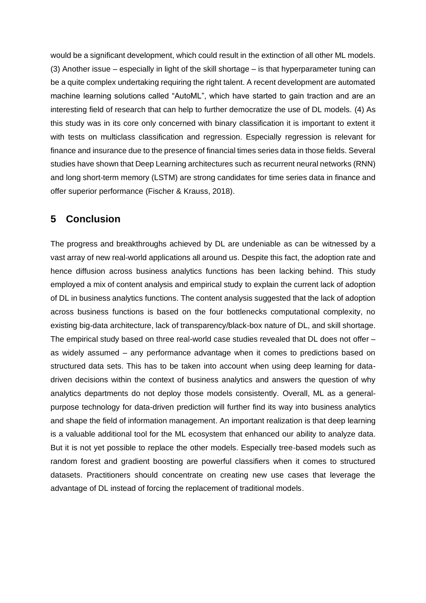would be a significant development, which could result in the extinction of all other ML models. (3) Another issue – especially in light of the skill shortage – is that hyperparameter tuning can be a quite complex undertaking requiring the right talent. A recent development are automated machine learning solutions called "AutoML", which have started to gain traction and are an interesting field of research that can help to further democratize the use of DL models. (4) As this study was in its core only concerned with binary classification it is important to extent it with tests on multiclass classification and regression. Especially regression is relevant for finance and insurance due to the presence of financial times series data in those fields. Several studies have shown that Deep Learning architectures such as recurrent neural networks (RNN) and long short-term memory (LSTM) are strong candidates for time series data in finance and offer superior performance (Fischer & Krauss, 2018).

# **5 Conclusion**

The progress and breakthroughs achieved by DL are undeniable as can be witnessed by a vast array of new real-world applications all around us. Despite this fact, the adoption rate and hence diffusion across business analytics functions has been lacking behind. This study employed a mix of content analysis and empirical study to explain the current lack of adoption of DL in business analytics functions. The content analysis suggested that the lack of adoption across business functions is based on the four bottlenecks computational complexity, no existing big-data architecture, lack of transparency/black-box nature of DL, and skill shortage. The empirical study based on three real-world case studies revealed that DL does not offer – as widely assumed – any performance advantage when it comes to predictions based on structured data sets. This has to be taken into account when using deep learning for datadriven decisions within the context of business analytics and answers the question of why analytics departments do not deploy those models consistently. Overall, ML as a generalpurpose technology for data-driven prediction will further find its way into business analytics and shape the field of information management. An important realization is that deep learning is a valuable additional tool for the ML ecosystem that enhanced our ability to analyze data. But it is not yet possible to replace the other models. Especially tree-based models such as random forest and gradient boosting are powerful classifiers when it comes to structured datasets. Practitioners should concentrate on creating new use cases that leverage the advantage of DL instead of forcing the replacement of traditional models.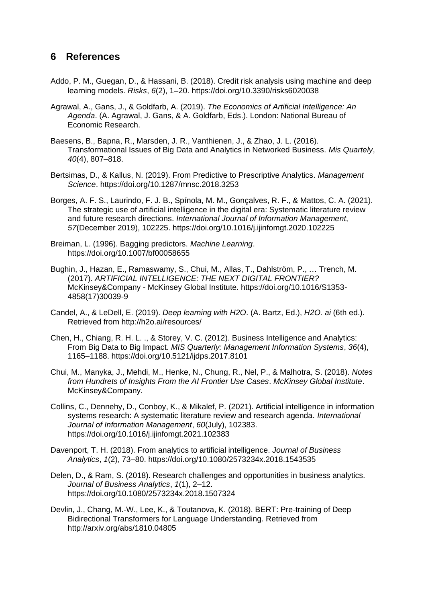# **6 References**

- Addo, P. M., Guegan, D., & Hassani, B. (2018). Credit risk analysis using machine and deep learning models. *Risks*, *6*(2), 1–20. https://doi.org/10.3390/risks6020038
- Agrawal, A., Gans, J., & Goldfarb, A. (2019). *The Economics of Artificial Intelligence: An Agenda*. (A. Agrawal, J. Gans, & A. Goldfarb, Eds.). London: National Bureau of Economic Research.
- Baesens, B., Bapna, R., Marsden, J. R., Vanthienen, J., & Zhao, J. L. (2016). Transformational Issues of Big Data and Analytics in Networked Business. *Mis Quartely*, *40*(4), 807–818.
- Bertsimas, D., & Kallus, N. (2019). From Predictive to Prescriptive Analytics. *Management Science*. https://doi.org/10.1287/mnsc.2018.3253
- Borges, A. F. S., Laurindo, F. J. B., Spínola, M. M., Gonçalves, R. F., & Mattos, C. A. (2021). The strategic use of artificial intelligence in the digital era: Systematic literature review and future research directions. *International Journal of Information Management*, *57*(December 2019), 102225. https://doi.org/10.1016/j.ijinfomgt.2020.102225
- Breiman, L. (1996). Bagging predictors. *Machine Learning*. https://doi.org/10.1007/bf00058655
- Bughin, J., Hazan, E., Ramaswamy, S., Chui, M., Allas, T., Dahlström, P., … Trench, M. (2017). *ARTIFICIAL INTELLIGENCE: THE NEXT DIGITAL FRONTIER?* McKinsey&Company - McKinsey Global Institute. https://doi.org/10.1016/S1353- 4858(17)30039-9
- Candel, A., & LeDell, E. (2019). *Deep learning with H2O*. (A. Bartz, Ed.), *H2O. ai* (6th ed.). Retrieved from http://h2o.ai/resources/
- Chen, H., Chiang, R. H. L. ., & Storey, V. C. (2012). Business Intelligence and Analytics: From Big Data to Big Impact. *MIS Quarterly: Management Information Systems*, *36*(4), 1165–1188. https://doi.org/10.5121/ijdps.2017.8101
- Chui, M., Manyka, J., Mehdi, M., Henke, N., Chung, R., Nel, P., & Malhotra, S. (2018). *Notes from Hundrets of Insights From the AI Frontier Use Cases*. *McKinsey Global Institute*. McKinsey&Company.
- Collins, C., Dennehy, D., Conboy, K., & Mikalef, P. (2021). Artificial intelligence in information systems research: A systematic literature review and research agenda. *International Journal of Information Management*, *60*(July), 102383. https://doi.org/10.1016/j.ijinfomgt.2021.102383
- Davenport, T. H. (2018). From analytics to artificial intelligence. *Journal of Business Analytics*, *1*(2), 73–80. https://doi.org/10.1080/2573234x.2018.1543535
- Delen, D., & Ram, S. (2018). Research challenges and opportunities in business analytics. *Journal of Business Analytics*, *1*(1), 2–12. https://doi.org/10.1080/2573234x.2018.1507324
- Devlin, J., Chang, M.-W., Lee, K., & Toutanova, K. (2018). BERT: Pre-training of Deep Bidirectional Transformers for Language Understanding. Retrieved from http://arxiv.org/abs/1810.04805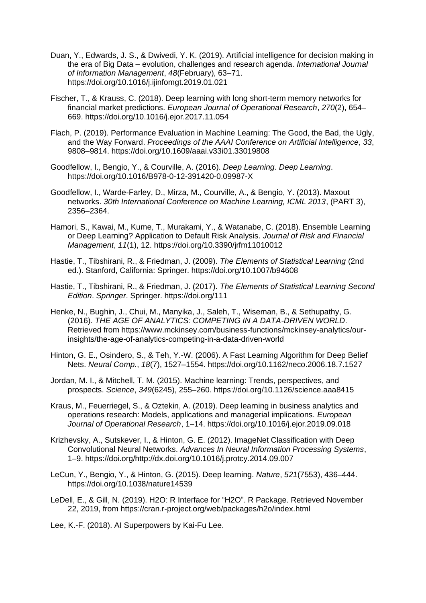- Duan, Y., Edwards, J. S., & Dwivedi, Y. K. (2019). Artificial intelligence for decision making in the era of Big Data – evolution, challenges and research agenda. *International Journal of Information Management*, *48*(February), 63–71. https://doi.org/10.1016/j.ijinfomgt.2019.01.021
- Fischer, T., & Krauss, C. (2018). Deep learning with long short-term memory networks for financial market predictions. *European Journal of Operational Research*, *270*(2), 654– 669. https://doi.org/10.1016/j.ejor.2017.11.054
- Flach, P. (2019). Performance Evaluation in Machine Learning: The Good, the Bad, the Ugly, and the Way Forward. *Proceedings of the AAAI Conference on Artificial Intelligence*, *33*, 9808–9814. https://doi.org/10.1609/aaai.v33i01.33019808
- Goodfellow, I., Bengio, Y., & Courville, A. (2016). *Deep Learning*. *Deep Learning*. https://doi.org/10.1016/B978-0-12-391420-0.09987-X
- Goodfellow, I., Warde-Farley, D., Mirza, M., Courville, A., & Bengio, Y. (2013). Maxout networks. *30th International Conference on Machine Learning, ICML 2013*, (PART 3), 2356–2364.
- Hamori, S., Kawai, M., Kume, T., Murakami, Y., & Watanabe, C. (2018). Ensemble Learning or Deep Learning? Application to Default Risk Analysis. *Journal of Risk and Financial Management*, *11*(1), 12. https://doi.org/10.3390/jrfm11010012
- Hastie, T., Tibshirani, R., & Friedman, J. (2009). *The Elements of Statistical Learning* (2nd ed.). Stanford, California: Springer. https://doi.org/10.1007/b94608
- Hastie, T., Tibshirani, R., & Friedman, J. (2017). *The Elements of Statistical Learning Second Edition*. *Springer*. Springer. https://doi.org/111
- Henke, N., Bughin, J., Chui, M., Manyika, J., Saleh, T., Wiseman, B., & Sethupathy, G. (2016). *THE AGE OF ANALYTICS: COMPETING IN A DATA-DRIVEN WORLD*. Retrieved from https://www.mckinsey.com/business-functions/mckinsey-analytics/ourinsights/the-age-of-analytics-competing-in-a-data-driven-world
- Hinton, G. E., Osindero, S., & Teh, Y.-W. (2006). A Fast Learning Algorithm for Deep Belief Nets. *Neural Comp.*, *18*(7), 1527–1554. https://doi.org/10.1162/neco.2006.18.7.1527
- Jordan, M. I., & Mitchell, T. M. (2015). Machine learning: Trends, perspectives, and prospects. *Science*, *349*(6245), 255–260. https://doi.org/10.1126/science.aaa8415
- Kraus, M., Feuerriegel, S., & Oztekin, A. (2019). Deep learning in business analytics and operations research: Models, applications and managerial implications. *European Journal of Operational Research*, 1–14. https://doi.org/10.1016/j.ejor.2019.09.018
- Krizhevsky, A., Sutskever, I., & Hinton, G. E. (2012). ImageNet Classification with Deep Convolutional Neural Networks. *Advances In Neural Information Processing Systems*, 1–9. https://doi.org/http://dx.doi.org/10.1016/j.protcy.2014.09.007
- LeCun, Y., Bengio, Y., & Hinton, G. (2015). Deep learning. *Nature*, *521*(7553), 436–444. https://doi.org/10.1038/nature14539
- LeDell, E., & Gill, N. (2019). H2O: R Interface for "H2O". R Package. Retrieved November 22, 2019, from https://cran.r-project.org/web/packages/h2o/index.html

Lee, K.-F. (2018). AI Superpowers by Kai-Fu Lee.